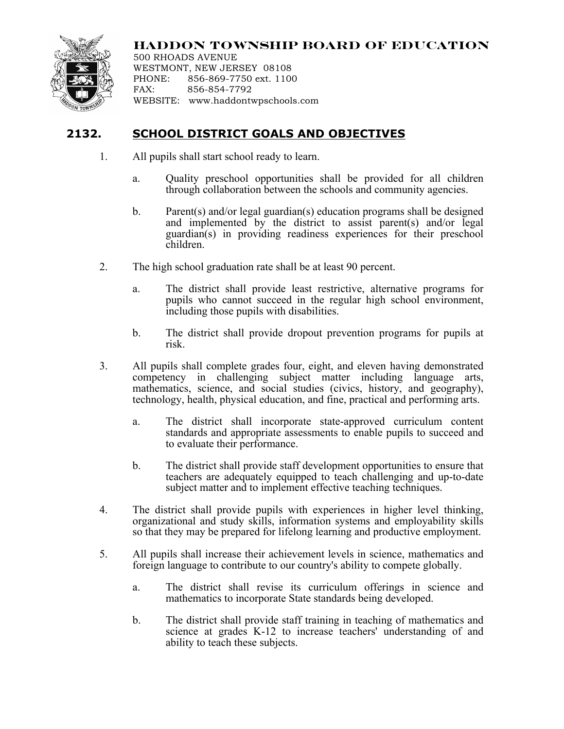

## **HADDON TOWNSHIP BOARD OF EDUCATION**

500 RHOADS AVENUE WESTMONT, NEW JERSEY 08108 PHONE: 856-869-7750 ext. 1100 FAX: 856-854-7792 WEBSITE: www.haddontwpschools.com

## **2132. SCHOOL DISTRICT GOALS AND OBJECTIVES**

- 1. All pupils shall start school ready to learn.
	- a. Quality preschool opportunities shall be provided for all children through collaboration between the schools and community agencies.
	- b. Parent(s) and/or legal guardian(s) education programs shall be designed and implemented by the district to assist parent(s) and/or legal guardian(s) in providing readiness experiences for their preschool children.
- 2. The high school graduation rate shall be at least 90 percent.
	- a. The district shall provide least restrictive, alternative programs for pupils who cannot succeed in the regular high school environment, including those pupils with disabilities.
	- b. The district shall provide dropout prevention programs for pupils at risk.
- 3. All pupils shall complete grades four, eight, and eleven having demonstrated competency in challenging subject matter including language arts, mathematics, science, and social studies (civics, history, and geography), technology, health, physical education, and fine, practical and performing arts.
	- a. The district shall incorporate state-approved curriculum content standards and appropriate assessments to enable pupils to succeed and to evaluate their performance.
	- b. The district shall provide staff development opportunities to ensure that teachers are adequately equipped to teach challenging and up-to-date subject matter and to implement effective teaching techniques.
- 4. The district shall provide pupils with experiences in higher level thinking, organizational and study skills, information systems and employability skills so that they may be prepared for lifelong learning and productive employment.
- 5. All pupils shall increase their achievement levels in science, mathematics and foreign language to contribute to our country's ability to compete globally.
	- a. The district shall revise its curriculum offerings in science and mathematics to incorporate State standards being developed.
	- b. The district shall provide staff training in teaching of mathematics and science at grades K-12 to increase teachers' understanding of and ability to teach these subjects.